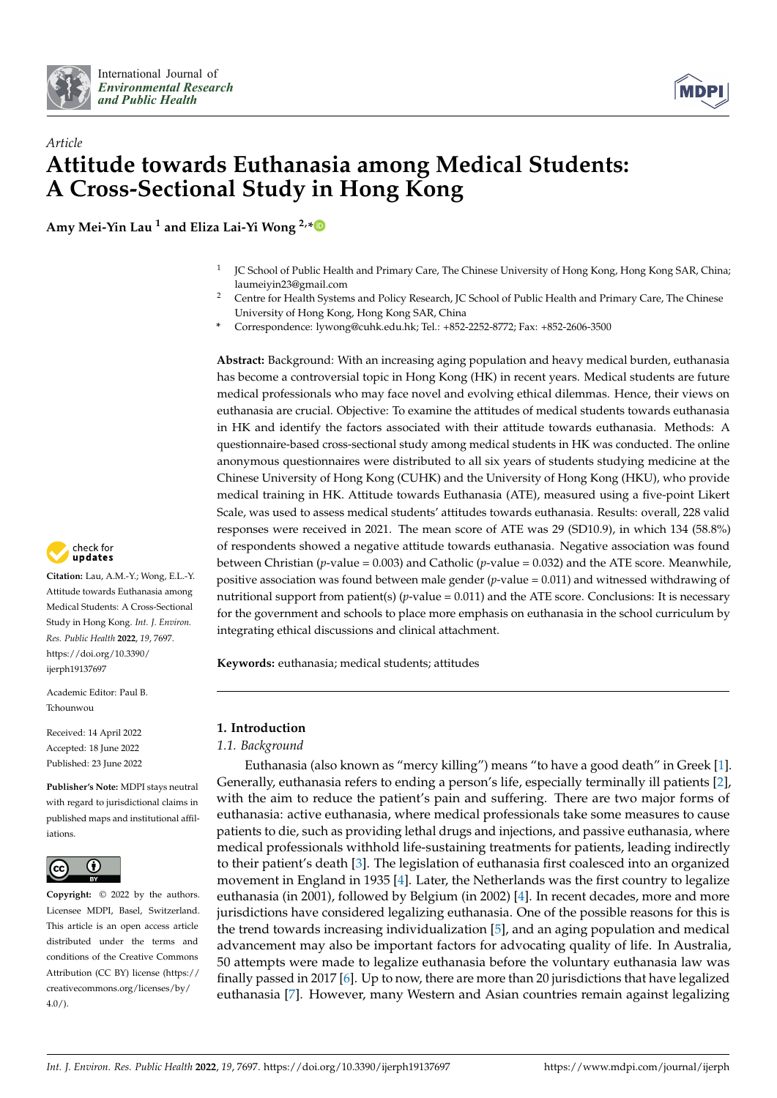



# *Article* **Attitude towards Euthanasia among Medical Students: A Cross-Sectional Study in Hong Kong**

**Amy Mei-Yin Lau <sup>1</sup> and Eliza Lai-Yi Wong 2,[\\*](https://orcid.org/0000-0001-9983-6219)**

- 1 JC School of Public Health and Primary Care, The Chinese University of Hong Kong, Hong Kong SAR, China; laumeiyin23@gmail.com
- <sup>2</sup> Centre for Health Systems and Policy Research, JC School of Public Health and Primary Care, The Chinese University of Hong Kong, Hong Kong SAR, China
- **\*** Correspondence: lywong@cuhk.edu.hk; Tel.: +852-2252-8772; Fax: +852-2606-3500

**Abstract:** Background: With an increasing aging population and heavy medical burden, euthanasia has become a controversial topic in Hong Kong (HK) in recent years. Medical students are future medical professionals who may face novel and evolving ethical dilemmas. Hence, their views on euthanasia are crucial. Objective: To examine the attitudes of medical students towards euthanasia in HK and identify the factors associated with their attitude towards euthanasia. Methods: A questionnaire-based cross-sectional study among medical students in HK was conducted. The online anonymous questionnaires were distributed to all six years of students studying medicine at the Chinese University of Hong Kong (CUHK) and the University of Hong Kong (HKU), who provide medical training in HK. Attitude towards Euthanasia (ATE), measured using a five-point Likert Scale, was used to assess medical students' attitudes towards euthanasia. Results: overall, 228 valid responses were received in 2021. The mean score of ATE was 29 (SD10.9), in which 134 (58.8%) of respondents showed a negative attitude towards euthanasia. Negative association was found between Christian (*p*-value = 0.003) and Catholic (*p*-value = 0.032) and the ATE score. Meanwhile, positive association was found between male gender (*p*-value = 0.011) and witnessed withdrawing of nutritional support from patient(s)  $(p$ -value = 0.011) and the ATE score. Conclusions: It is necessary for the government and schools to place more emphasis on euthanasia in the school curriculum by integrating ethical discussions and clinical attachment.

**Keywords:** euthanasia; medical students; attitudes

## **1. Introduction**

## *1.1. Background*

Euthanasia (also known as "mercy killing") means "to have a good death" in Greek [\[1\]](#page-9-0). Generally, euthanasia refers to ending a person's life, especially terminally ill patients [\[2\]](#page-9-1), with the aim to reduce the patient's pain and suffering. There are two major forms of euthanasia: active euthanasia, where medical professionals take some measures to cause patients to die, such as providing lethal drugs and injections, and passive euthanasia, where medical professionals withhold life-sustaining treatments for patients, leading indirectly to their patient's death [\[3\]](#page-9-2). The legislation of euthanasia first coalesced into an organized movement in England in 1935 [\[4\]](#page-9-3). Later, the Netherlands was the first country to legalize euthanasia (in 2001), followed by Belgium (in 2002) [\[4\]](#page-9-3). In recent decades, more and more jurisdictions have considered legalizing euthanasia. One of the possible reasons for this is the trend towards increasing individualization [\[5\]](#page-9-4), and an aging population and medical advancement may also be important factors for advocating quality of life. In Australia, 50 attempts were made to legalize euthanasia before the voluntary euthanasia law was finally passed in 2017 [\[6\]](#page-9-5). Up to now, there are more than 20 jurisdictions that have legalized euthanasia [\[7\]](#page-9-6). However, many Western and Asian countries remain against legalizing



**Citation:** Lau, A.M.-Y.; Wong, E.L.-Y. Attitude towards Euthanasia among Medical Students: A Cross-Sectional Study in Hong Kong. *Int. J. Environ. Res. Public Health* **2022**, *19*, 7697. [https://doi.org/10.3390/](https://doi.org/10.3390/ijerph19137697) [ijerph19137697](https://doi.org/10.3390/ijerph19137697)

Academic Editor: Paul B. Tchounwou

Received: 14 April 2022 Accepted: 18 June 2022 Published: 23 June 2022

**Publisher's Note:** MDPI stays neutral with regard to jurisdictional claims in published maps and institutional affiliations.



**Copyright:** © 2022 by the authors. Licensee MDPI, Basel, Switzerland. This article is an open access article distributed under the terms and conditions of the Creative Commons Attribution (CC BY) license [\(https://](https://creativecommons.org/licenses/by/4.0/) [creativecommons.org/licenses/by/](https://creativecommons.org/licenses/by/4.0/)  $4.0/$ ).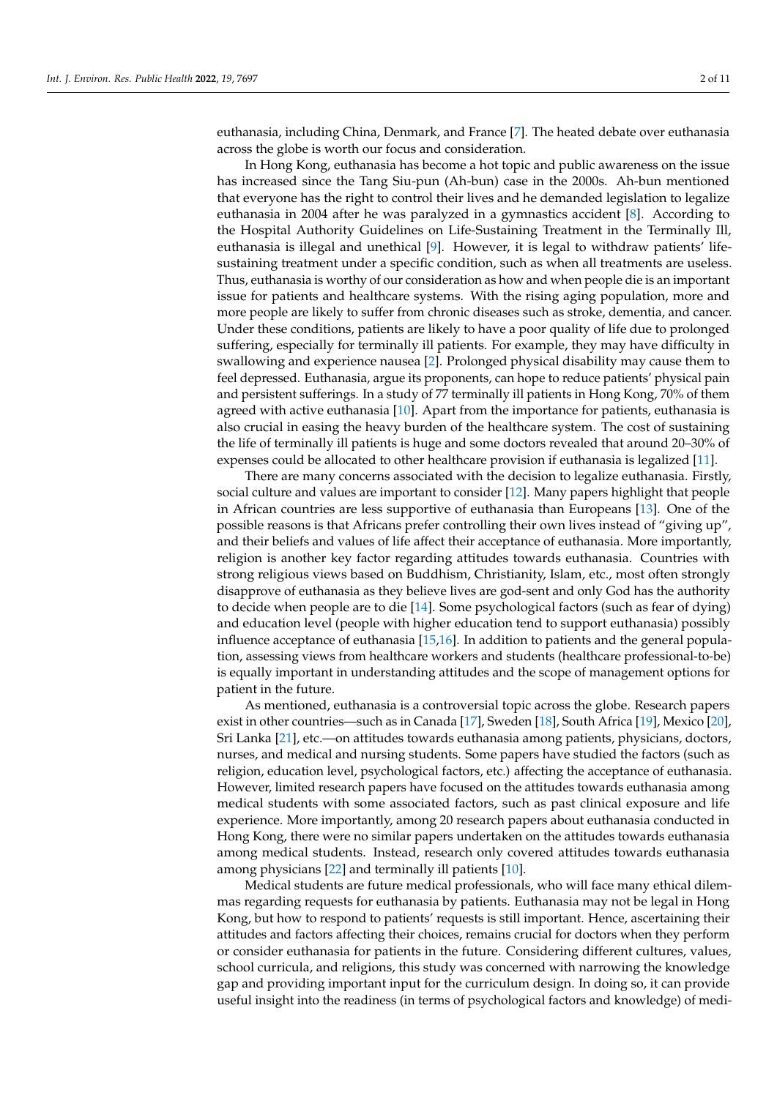euthanasia, including China, Denmark, and France [\[7\]](#page-9-6). The heated debate over euthanasia across the globe is worth our focus and consideration.

In Hong Kong, euthanasia has become a hot topic and public awareness on the issue has increased since the Tang Siu-pun (Ah-bun) case in the 2000s. Ah-bun mentioned that everyone has the right to control their lives and he demanded legislation to legalize euthanasia in 2004 after he was paralyzed in a gymnastics accident [\[8\]](#page-9-7). According to the Hospital Authority Guidelines on Life-Sustaining Treatment in the Terminally Ill, euthanasia is illegal and unethical [\[9\]](#page-9-8). However, it is legal to withdraw patients' lifesustaining treatment under a specific condition, such as when all treatments are useless. Thus, euthanasia is worthy of our consideration as how and when people die is an important issue for patients and healthcare systems. With the rising aging population, more and more people are likely to suffer from chronic diseases such as stroke, dementia, and cancer. Under these conditions, patients are likely to have a poor quality of life due to prolonged suffering, especially for terminally ill patients. For example, they may have difficulty in swallowing and experience nausea [\[2\]](#page-9-1). Prolonged physical disability may cause them to feel depressed. Euthanasia, argue its proponents, can hope to reduce patients' physical pain and persistent sufferings. In a study of 77 terminally ill patients in Hong Kong, 70% of them agreed with active euthanasia [\[10\]](#page-9-9). Apart from the importance for patients, euthanasia is also crucial in easing the heavy burden of the healthcare system. The cost of sustaining the life of terminally ill patients is huge and some doctors revealed that around 20–30% of expenses could be allocated to other healthcare provision if euthanasia is legalized [\[11\]](#page-9-10).

There are many concerns associated with the decision to legalize euthanasia. Firstly, social culture and values are important to consider [\[12\]](#page-9-11). Many papers highlight that people in African countries are less supportive of euthanasia than Europeans [\[13\]](#page-9-12). One of the possible reasons is that Africans prefer controlling their own lives instead of "giving up", and their beliefs and values of life affect their acceptance of euthanasia. More importantly, religion is another key factor regarding attitudes towards euthanasia. Countries with strong religious views based on Buddhism, Christianity, Islam, etc., most often strongly disapprove of euthanasia as they believe lives are god-sent and only God has the authority to decide when people are to die [\[14\]](#page-9-13). Some psychological factors (such as fear of dying) and education level (people with higher education tend to support euthanasia) possibly influence acceptance of euthanasia [\[15,](#page-9-14)[16\]](#page-9-15). In addition to patients and the general population, assessing views from healthcare workers and students (healthcare professional-to-be) is equally important in understanding attitudes and the scope of management options for patient in the future.

As mentioned, euthanasia is a controversial topic across the globe. Research papers exist in other countries—such as in Canada [\[17\]](#page-9-16), Sweden [\[18\]](#page-9-17), South Africa [\[19\]](#page-9-18), Mexico [\[20\]](#page-9-19), Sri Lanka [\[21\]](#page-9-20), etc.—on attitudes towards euthanasia among patients, physicians, doctors, nurses, and medical and nursing students. Some papers have studied the factors (such as religion, education level, psychological factors, etc.) affecting the acceptance of euthanasia. However, limited research papers have focused on the attitudes towards euthanasia among medical students with some associated factors, such as past clinical exposure and life experience. More importantly, among 20 research papers about euthanasia conducted in Hong Kong, there were no similar papers undertaken on the attitudes towards euthanasia among medical students. Instead, research only covered attitudes towards euthanasia among physicians [\[22\]](#page-9-21) and terminally ill patients [\[10\]](#page-9-9).

Medical students are future medical professionals, who will face many ethical dilemmas regarding requests for euthanasia by patients. Euthanasia may not be legal in Hong Kong, but how to respond to patients' requests is still important. Hence, ascertaining their attitudes and factors affecting their choices, remains crucial for doctors when they perform or consider euthanasia for patients in the future. Considering different cultures, values, school curricula, and religions, this study was concerned with narrowing the knowledge gap and providing important input for the curriculum design. In doing so, it can provide useful insight into the readiness (in terms of psychological factors and knowledge) of medi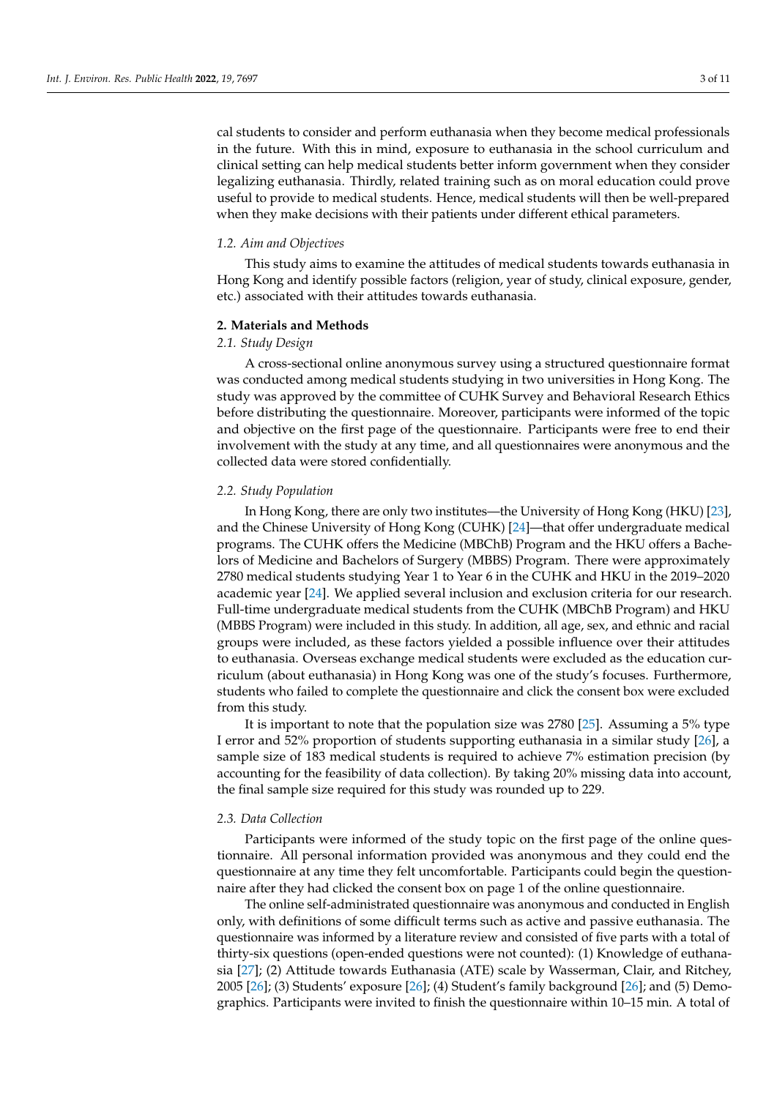cal students to consider and perform euthanasia when they become medical professionals in the future. With this in mind, exposure to euthanasia in the school curriculum and clinical setting can help medical students better inform government when they consider legalizing euthanasia. Thirdly, related training such as on moral education could prove useful to provide to medical students. Hence, medical students will then be well-prepared when they make decisions with their patients under different ethical parameters.

#### *1.2. Aim and Objectives*

This study aims to examine the attitudes of medical students towards euthanasia in Hong Kong and identify possible factors (religion, year of study, clinical exposure, gender, etc.) associated with their attitudes towards euthanasia.

## **2. Materials and Methods**

#### *2.1. Study Design*

A cross-sectional online anonymous survey using a structured questionnaire format was conducted among medical students studying in two universities in Hong Kong. The study was approved by the committee of CUHK Survey and Behavioral Research Ethics before distributing the questionnaire. Moreover, participants were informed of the topic and objective on the first page of the questionnaire. Participants were free to end their involvement with the study at any time, and all questionnaires were anonymous and the collected data were stored confidentially.

### *2.2. Study Population*

In Hong Kong, there are only two institutes—the University of Hong Kong (HKU) [\[23\]](#page-9-22), and the Chinese University of Hong Kong (CUHK) [\[24\]](#page-9-23)—that offer undergraduate medical programs. The CUHK offers the Medicine (MBChB) Program and the HKU offers a Bachelors of Medicine and Bachelors of Surgery (MBBS) Program. There were approximately 2780 medical students studying Year 1 to Year 6 in the CUHK and HKU in the 2019–2020 academic year [\[24\]](#page-9-23). We applied several inclusion and exclusion criteria for our research. Full-time undergraduate medical students from the CUHK (MBChB Program) and HKU (MBBS Program) were included in this study. In addition, all age, sex, and ethnic and racial groups were included, as these factors yielded a possible influence over their attitudes to euthanasia. Overseas exchange medical students were excluded as the education curriculum (about euthanasia) in Hong Kong was one of the study's focuses. Furthermore, students who failed to complete the questionnaire and click the consent box were excluded from this study.

It is important to note that the population size was 2780 [\[25\]](#page-9-24). Assuming a 5% type I error and 52% proportion of students supporting euthanasia in a similar study [\[26\]](#page-9-25), a sample size of 183 medical students is required to achieve 7% estimation precision (by accounting for the feasibility of data collection). By taking 20% missing data into account, the final sample size required for this study was rounded up to 229.

## *2.3. Data Collection*

Participants were informed of the study topic on the first page of the online questionnaire. All personal information provided was anonymous and they could end the questionnaire at any time they felt uncomfortable. Participants could begin the questionnaire after they had clicked the consent box on page 1 of the online questionnaire.

The online self-administrated questionnaire was anonymous and conducted in English only, with definitions of some difficult terms such as active and passive euthanasia. The questionnaire was informed by a literature review and consisted of five parts with a total of thirty-six questions (open-ended questions were not counted): (1) Knowledge of euthanasia [\[27\]](#page-9-26); (2) Attitude towards Euthanasia (ATE) scale by Wasserman, Clair, and Ritchey, 2005 [\[26\]](#page-9-25); (3) Students' exposure [\[26\]](#page-9-25); (4) Student's family background [\[26\]](#page-9-25); and (5) Demographics. Participants were invited to finish the questionnaire within 10–15 min. A total of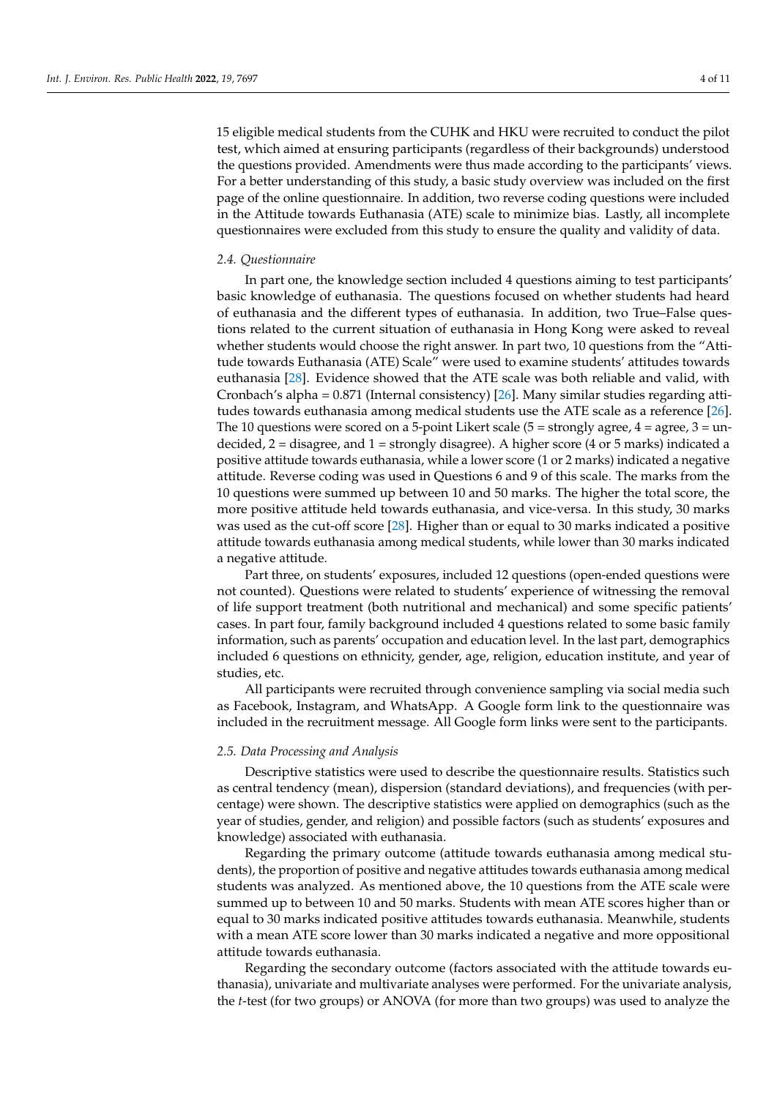15 eligible medical students from the CUHK and HKU were recruited to conduct the pilot test, which aimed at ensuring participants (regardless of their backgrounds) understood the questions provided. Amendments were thus made according to the participants' views. For a better understanding of this study, a basic study overview was included on the first page of the online questionnaire. In addition, two reverse coding questions were included in the Attitude towards Euthanasia (ATE) scale to minimize bias. Lastly, all incomplete questionnaires were excluded from this study to ensure the quality and validity of data.

#### *2.4. Questionnaire*

In part one, the knowledge section included 4 questions aiming to test participants' basic knowledge of euthanasia. The questions focused on whether students had heard of euthanasia and the different types of euthanasia. In addition, two True–False questions related to the current situation of euthanasia in Hong Kong were asked to reveal whether students would choose the right answer. In part two, 10 questions from the "Attitude towards Euthanasia (ATE) Scale" were used to examine students' attitudes towards euthanasia [\[28\]](#page-9-27). Evidence showed that the ATE scale was both reliable and valid, with Cronbach's alpha = 0.871 (Internal consistency) [\[26\]](#page-9-25). Many similar studies regarding attitudes towards euthanasia among medical students use the ATE scale as a reference [\[26\]](#page-9-25). The 10 questions were scored on a 5-point Likert scale (5 = strongly agree,  $4 =$  agree,  $3 =$  undecided, 2 = disagree, and 1 = strongly disagree). A higher score (4 or 5 marks) indicated a positive attitude towards euthanasia, while a lower score (1 or 2 marks) indicated a negative attitude. Reverse coding was used in Questions 6 and 9 of this scale. The marks from the 10 questions were summed up between 10 and 50 marks. The higher the total score, the more positive attitude held towards euthanasia, and vice-versa. In this study, 30 marks was used as the cut-off score [\[28\]](#page-9-27). Higher than or equal to 30 marks indicated a positive attitude towards euthanasia among medical students, while lower than 30 marks indicated a negative attitude.

Part three, on students' exposures, included 12 questions (open-ended questions were not counted). Questions were related to students' experience of witnessing the removal of life support treatment (both nutritional and mechanical) and some specific patients' cases. In part four, family background included 4 questions related to some basic family information, such as parents' occupation and education level. In the last part, demographics included 6 questions on ethnicity, gender, age, religion, education institute, and year of studies, etc.

All participants were recruited through convenience sampling via social media such as Facebook, Instagram, and WhatsApp. A Google form link to the questionnaire was included in the recruitment message. All Google form links were sent to the participants.

#### *2.5. Data Processing and Analysis*

Descriptive statistics were used to describe the questionnaire results. Statistics such as central tendency (mean), dispersion (standard deviations), and frequencies (with percentage) were shown. The descriptive statistics were applied on demographics (such as the year of studies, gender, and religion) and possible factors (such as students' exposures and knowledge) associated with euthanasia.

Regarding the primary outcome (attitude towards euthanasia among medical students), the proportion of positive and negative attitudes towards euthanasia among medical students was analyzed. As mentioned above, the 10 questions from the ATE scale were summed up to between 10 and 50 marks. Students with mean ATE scores higher than or equal to 30 marks indicated positive attitudes towards euthanasia. Meanwhile, students with a mean ATE score lower than 30 marks indicated a negative and more oppositional attitude towards euthanasia.

Regarding the secondary outcome (factors associated with the attitude towards euthanasia), univariate and multivariate analyses were performed. For the univariate analysis, the *t*-test (for two groups) or ANOVA (for more than two groups) was used to analyze the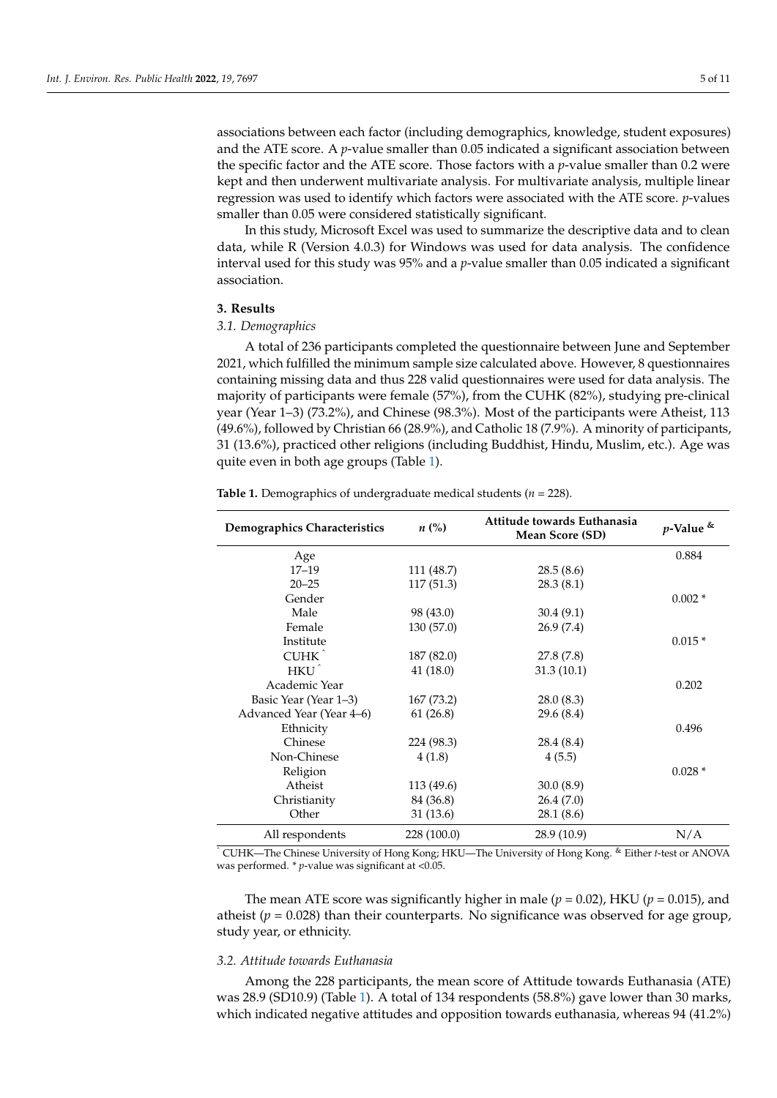associations between each factor (including demographics, knowledge, student exposures) and the ATE score. A  $p$ -value smaller than 0.05 indicated a significant association between the specific factor and the ATE score. Those factors with a *p*-value smaller than 0.2 were kept and then underwent multivariate analysis. For multivariate analysis, multiple linear regression was used to identify which factors were associated with the ATE score. *p*-values smaller than 0.05 were considered statistically significant.

In this study, Microsoft Excel was used to summarize the descriptive data and to clean data, while R (Version 4.0.3) for Windows was used for data analysis. The confidence interval used for this study was 95% and a *p*-value smaller than 0.05 indicated a significant association.

## **3. Results**

#### *3.1. Demographics*

A total of 236 participants completed the questionnaire between June and September 2021, which fulfilled the minimum sample size calculated above. However, 8 questionnaires containing missing data and thus 228 valid questionnaires were used for data analysis. The majority of participants were female (57%), from the CUHK (82%), studying pre-clinical year (Year 1–3) (73.2%), and Chinese (98.3%). Most of the participants were Atheist, 113 (49.6%), followed by Christian 66 (28.9%), and Catholic 18 (7.9%). A minority of participants, 31 (13.6%), practiced other religions (including Buddhist, Hindu, Muslim, etc.). Age was quite even in both age groups (Table [1\)](#page-4-0).

<span id="page-4-0"></span>**Table 1.** Demographics of undergraduate medical students (*n* = 228).

| Demographics Characteristics | $n\left(\%\right)$ | Attitude towards Euthanasia<br>Mean Score (SD) | $p$ -Value & |
|------------------------------|--------------------|------------------------------------------------|--------------|
| Age                          |                    |                                                | 0.884        |
| $17 - 19$                    | 111 (48.7)         | 28.5(8.6)                                      |              |
| $20 - 25$                    | 117(51.3)          | 28.3(8.1)                                      |              |
| Gender                       |                    |                                                | $0.002*$     |
| Male                         | 98 (43.0)          | 30.4(9.1)                                      |              |
| Female                       | 130(57.0)          | 26.9(7.4)                                      |              |
| Institute                    |                    |                                                | $0.015*$     |
| CUHK <sup>^</sup>            | 187 (82.0)         | 27.8(7.8)                                      |              |
| HKU <sup>^</sup>             | 41(18.0)           | 31.3(10.1)                                     |              |
| Academic Year                |                    |                                                | 0.202        |
| Basic Year (Year 1–3)        | 167(73.2)          | 28.0(8.3)                                      |              |
| Advanced Year (Year 4–6)     | 61(26.8)           | 29.6(8.4)                                      |              |
| Ethnicity                    |                    |                                                | 0.496        |
| Chinese                      | 224 (98.3)         | 28.4 (8.4)                                     |              |
| Non-Chinese                  | 4(1.8)             | 4(5.5)                                         |              |
| Religion                     |                    |                                                | $0.028*$     |
| Atheist                      | 113 (49.6)         | 30.0(8.9)                                      |              |
| Christianity                 | 84 (36.8)          | 26.4(7.0)                                      |              |
| Other                        | 31 (13.6)          | 28.1 (8.6)                                     |              |
| All respondents              | 228 (100.0)        | 28.9 (10.9)                                    | N/A          |

<sup>ˆ</sup> CUHK—The Chinese University of Hong Kong; HKU—The University of Hong Kong. & Either *t*-test or ANOVA was performed. \* *p*-value was significant at <0.05.

The mean ATE score was significantly higher in male ( $p = 0.02$ ), HKU ( $p = 0.015$ ), and atheist  $(p = 0.028)$  than their counterparts. No significance was observed for age group, study year, or ethnicity.

#### *3.2. Attitude towards Euthanasia*

Among the 228 participants, the mean score of Attitude towards Euthanasia (ATE) was 28.9 (SD10.9) (Table [1\)](#page-4-0). A total of 134 respondents (58.8%) gave lower than 30 marks, which indicated negative attitudes and opposition towards euthanasia, whereas 94 (41.2%)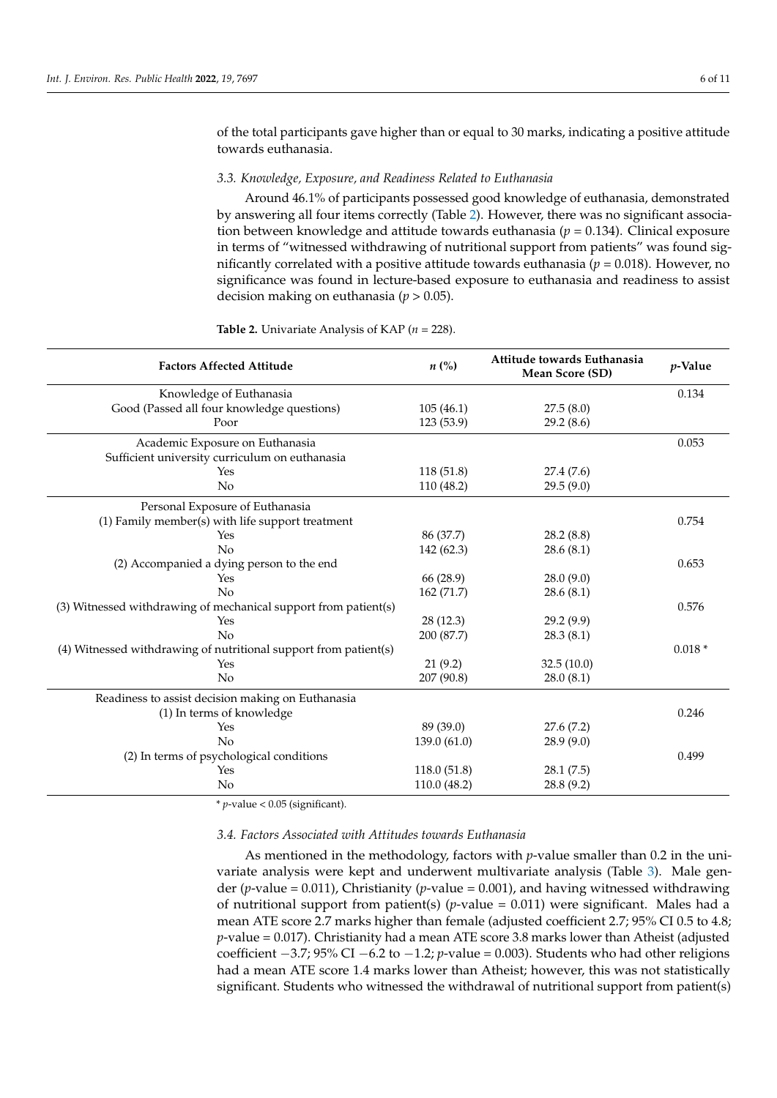of the total participants gave higher than or equal to 30 marks, indicating a positive attitude towards euthanasia.

#### *3.3. Knowledge, Exposure, and Readiness Related to Euthanasia*

Around 46.1% of participants possessed good knowledge of euthanasia, demonstrated by answering all four items correctly (Table [2\)](#page-5-0). However, there was no significant association between knowledge and attitude towards euthanasia (*p* = 0.134). Clinical exposure in terms of "witnessed withdrawing of nutritional support from patients" was found significantly correlated with a positive attitude towards euthanasia ( $p = 0.018$ ). However, no significance was found in lecture-based exposure to euthanasia and readiness to assist decision making on euthanasia (*p* > 0.05).

<span id="page-5-0"></span>

|  | <b>Table 2.</b> Univariate Analysis of KAP ( $n = 228$ ). |  |  |  |
|--|-----------------------------------------------------------|--|--|--|
|--|-----------------------------------------------------------|--|--|--|

| <b>Factors Affected Attitude</b>                                 | $n\left(\%\right)$ | Attitude towards Euthanasia<br>Mean Score (SD) | <i>p</i> -Value |
|------------------------------------------------------------------|--------------------|------------------------------------------------|-----------------|
| Knowledge of Euthanasia                                          |                    |                                                | 0.134           |
| Good (Passed all four knowledge questions)                       | 105(46.1)          | 27.5(8.0)                                      |                 |
| Poor                                                             | 123 (53.9)         | 29.2(8.6)                                      |                 |
| Academic Exposure on Euthanasia                                  |                    |                                                | 0.053           |
| Sufficient university curriculum on euthanasia                   |                    |                                                |                 |
| Yes                                                              | 118(51.8)          | 27.4 (7.6)                                     |                 |
| No                                                               | 110(48.2)          | 29.5(9.0)                                      |                 |
| Personal Exposure of Euthanasia                                  |                    |                                                |                 |
| (1) Family member(s) with life support treatment                 |                    |                                                | 0.754           |
| Yes                                                              | 86 (37.7)          | 28.2(8.8)                                      |                 |
| No                                                               | 142 (62.3)         | 28.6(8.1)                                      |                 |
| (2) Accompanied a dying person to the end                        |                    |                                                | 0.653           |
| Yes                                                              | 66 (28.9)          | 28.0(9.0)                                      |                 |
| No                                                               | 162 (71.7)         | 28.6(8.1)                                      |                 |
| (3) Witnessed withdrawing of mechanical support from patient(s)  |                    |                                                | 0.576           |
| Yes                                                              | 28 (12.3)          | 29.2(9.9)                                      |                 |
| No                                                               | 200 (87.7)         | 28.3(8.1)                                      |                 |
| (4) Witnessed withdrawing of nutritional support from patient(s) |                    |                                                | $0.018*$        |
| Yes                                                              | 21(9.2)            | 32.5(10.0)                                     |                 |
| No                                                               | 207 (90.8)         | 28.0(8.1)                                      |                 |
| Readiness to assist decision making on Euthanasia                |                    |                                                |                 |
| (1) In terms of knowledge                                        |                    |                                                | 0.246           |
| Yes                                                              | 89 (39.0)          | 27.6(7.2)                                      |                 |
| No                                                               | 139.0 (61.0)       | 28.9(9.0)                                      |                 |
| (2) In terms of psychological conditions                         |                    |                                                | 0.499           |
| Yes                                                              | 118.0 (51.8)       | 28.1(7.5)                                      |                 |
| No                                                               | 110.0 (48.2)       | 28.8(9.2)                                      |                 |

\* *p*-value < 0.05 (significant).

*3.4. Factors Associated with Attitudes towards Euthanasia*

As mentioned in the methodology, factors with *p*-value smaller than 0.2 in the univariate analysis were kept and underwent multivariate analysis (Table [3\)](#page-6-0). Male gender (*p*-value = 0.011), Christianity (*p*-value = 0.001), and having witnessed withdrawing of nutritional support from patient(s)  $(p$ -value = 0.011) were significant. Males had a mean ATE score 2.7 marks higher than female (adjusted coefficient 2.7; 95% CI 0.5 to 4.8; *p*-value = 0.017). Christianity had a mean ATE score 3.8 marks lower than Atheist (adjusted coefficient −3.7; 95% CI −6.2 to −1.2; *p*-value = 0.003). Students who had other religions had a mean ATE score 1.4 marks lower than Atheist; however, this was not statistically significant. Students who witnessed the withdrawal of nutritional support from patient(s)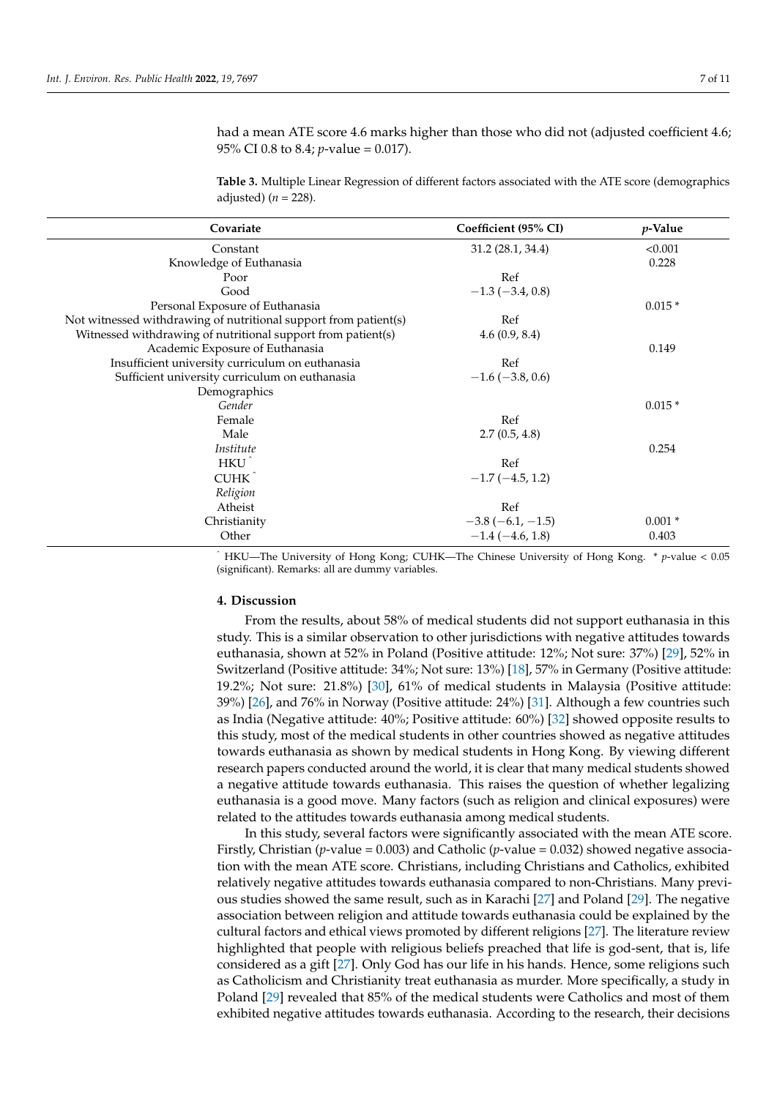had a mean ATE score 4.6 marks higher than those who did not (adjusted coefficient 4.6; 95% CI 0.8 to 8.4; *p*-value = 0.017).

<span id="page-6-0"></span>**Table 3.** Multiple Linear Regression of different factors associated with the ATE score (demographics adjusted)  $(n = 228)$ .

| Covariate                                                        | Coefficient (95% CI)   | $p$ -Value |
|------------------------------------------------------------------|------------------------|------------|
| Constant                                                         | 31.2(28.1, 34.4)       | < 0.001    |
| Knowledge of Euthanasia                                          |                        | 0.228      |
| Poor                                                             | Ref                    |            |
| Good                                                             | $-1.3(-3.4, 0.8)$      |            |
| Personal Exposure of Euthanasia                                  |                        | $0.015*$   |
| Not witnessed withdrawing of nutritional support from patient(s) | Ref                    |            |
| Witnessed withdrawing of nutritional support from patient(s)     | 4.6(0.9, 8.4)          |            |
| Academic Exposure of Euthanasia                                  |                        | 0.149      |
| Insufficient university curriculum on euthanasia                 | Ref                    |            |
| Sufficient university curriculum on euthanasia                   | $-1.6$ ( $-3.8$ , 0.6) |            |
| Demographics                                                     |                        |            |
| Gender                                                           |                        | $0.015*$   |
| Female                                                           | Ref                    |            |
| Male                                                             | 2.7(0.5, 4.8)          |            |
| Institute                                                        |                        | 0.254      |
| HKU <sup>^</sup>                                                 | Ref                    |            |
| CUHK <sup>^</sup>                                                | $-1.7(-4.5, 1.2)$      |            |
| Religion                                                         |                        |            |
| Atheist                                                          | Ref                    |            |
| Christianity                                                     | $-3.8(-6.1, -1.5)$     | $0.001*$   |
| Other                                                            | $-1.4(-4.6, 1.8)$      | 0.403      |

<sup>ˆ</sup> HKU—The University of Hong Kong; CUHK—The Chinese University of Hong Kong. \* *p*-value < 0.05 (significant). Remarks: all are dummy variables.

## **4. Discussion**

From the results, about 58% of medical students did not support euthanasia in this study. This is a similar observation to other jurisdictions with negative attitudes towards euthanasia, shown at 52% in Poland (Positive attitude: 12%; Not sure: 37%) [\[29\]](#page-10-0), 52% in Switzerland (Positive attitude: 34%; Not sure: 13%) [\[18\]](#page-9-17), 57% in Germany (Positive attitude: 19.2%; Not sure: 21.8%) [\[30\]](#page-10-1), 61% of medical students in Malaysia (Positive attitude: 39%) [\[26\]](#page-9-25), and 76% in Norway (Positive attitude: 24%) [\[31\]](#page-10-2). Although a few countries such as India (Negative attitude: 40%; Positive attitude: 60%) [\[32\]](#page-10-3) showed opposite results to this study, most of the medical students in other countries showed as negative attitudes towards euthanasia as shown by medical students in Hong Kong. By viewing different research papers conducted around the world, it is clear that many medical students showed a negative attitude towards euthanasia. This raises the question of whether legalizing euthanasia is a good move. Many factors (such as religion and clinical exposures) were related to the attitudes towards euthanasia among medical students.

In this study, several factors were significantly associated with the mean ATE score. Firstly, Christian (*p*-value = 0.003) and Catholic (*p*-value = 0.032) showed negative association with the mean ATE score. Christians, including Christians and Catholics, exhibited relatively negative attitudes towards euthanasia compared to non-Christians. Many previous studies showed the same result, such as in Karachi [\[27\]](#page-9-26) and Poland [\[29\]](#page-10-0). The negative association between religion and attitude towards euthanasia could be explained by the cultural factors and ethical views promoted by different religions [\[27\]](#page-9-26). The literature review highlighted that people with religious beliefs preached that life is god-sent, that is, life considered as a gift [\[27\]](#page-9-26). Only God has our life in his hands. Hence, some religions such as Catholicism and Christianity treat euthanasia as murder. More specifically, a study in Poland [\[29\]](#page-10-0) revealed that 85% of the medical students were Catholics and most of them exhibited negative attitudes towards euthanasia. According to the research, their decisions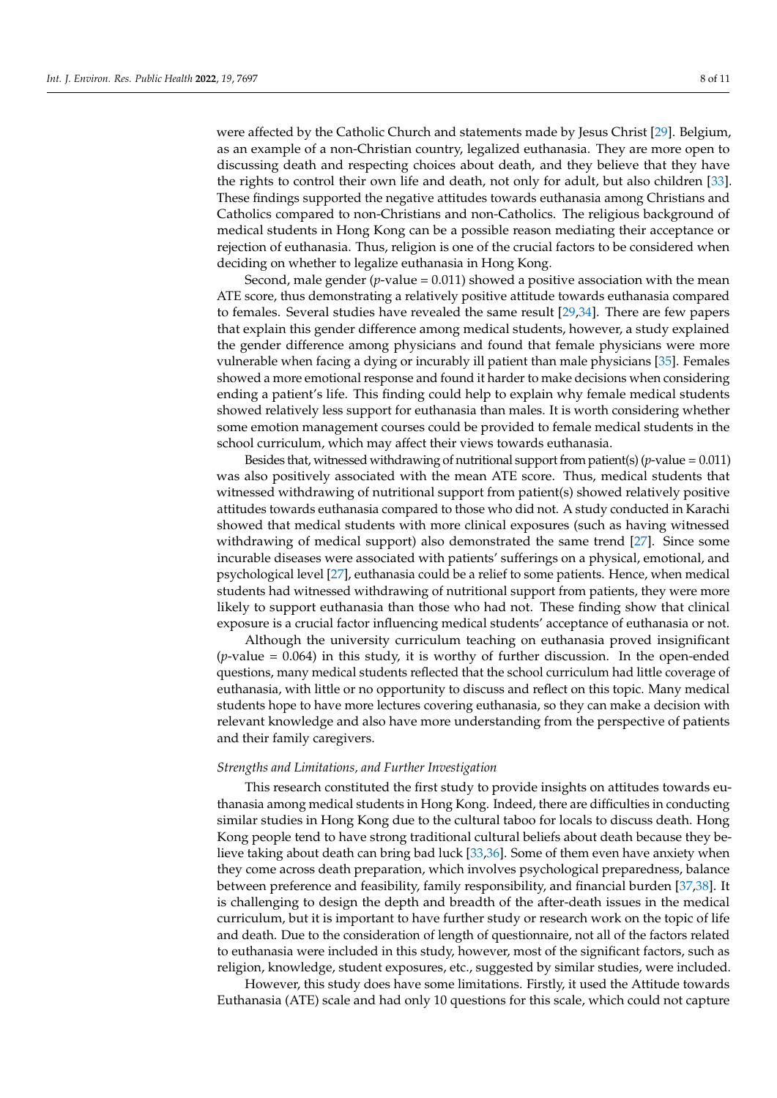were affected by the Catholic Church and statements made by Jesus Christ [\[29\]](#page-10-0). Belgium, as an example of a non-Christian country, legalized euthanasia. They are more open to discussing death and respecting choices about death, and they believe that they have the rights to control their own life and death, not only for adult, but also children [\[33\]](#page-10-4). These findings supported the negative attitudes towards euthanasia among Christians and Catholics compared to non-Christians and non-Catholics. The religious background of medical students in Hong Kong can be a possible reason mediating their acceptance or rejection of euthanasia. Thus, religion is one of the crucial factors to be considered when deciding on whether to legalize euthanasia in Hong Kong.

Second, male gender  $(p$ -value = 0.011) showed a positive association with the mean ATE score, thus demonstrating a relatively positive attitude towards euthanasia compared to females. Several studies have revealed the same result [\[29,](#page-10-0)[34\]](#page-10-5). There are few papers that explain this gender difference among medical students, however, a study explained the gender difference among physicians and found that female physicians were more vulnerable when facing a dying or incurably ill patient than male physicians [\[35\]](#page-10-6). Females showed a more emotional response and found it harder to make decisions when considering ending a patient's life. This finding could help to explain why female medical students showed relatively less support for euthanasia than males. It is worth considering whether some emotion management courses could be provided to female medical students in the school curriculum, which may affect their views towards euthanasia.

Besides that, witnessed withdrawing of nutritional support from patient(s) (*p*-value = 0.011) was also positively associated with the mean ATE score. Thus, medical students that witnessed withdrawing of nutritional support from patient(s) showed relatively positive attitudes towards euthanasia compared to those who did not. A study conducted in Karachi showed that medical students with more clinical exposures (such as having witnessed withdrawing of medical support) also demonstrated the same trend [\[27\]](#page-9-26). Since some incurable diseases were associated with patients' sufferings on a physical, emotional, and psychological level [\[27\]](#page-9-26), euthanasia could be a relief to some patients. Hence, when medical students had witnessed withdrawing of nutritional support from patients, they were more likely to support euthanasia than those who had not. These finding show that clinical exposure is a crucial factor influencing medical students' acceptance of euthanasia or not.

Although the university curriculum teaching on euthanasia proved insignificant  $(p$ -value  $= 0.064$ ) in this study, it is worthy of further discussion. In the open-ended questions, many medical students reflected that the school curriculum had little coverage of euthanasia, with little or no opportunity to discuss and reflect on this topic. Many medical students hope to have more lectures covering euthanasia, so they can make a decision with relevant knowledge and also have more understanding from the perspective of patients and their family caregivers.

#### *Strengths and Limitations, and Further Investigation*

This research constituted the first study to provide insights on attitudes towards euthanasia among medical students in Hong Kong. Indeed, there are difficulties in conducting similar studies in Hong Kong due to the cultural taboo for locals to discuss death. Hong Kong people tend to have strong traditional cultural beliefs about death because they believe taking about death can bring bad luck [\[33](#page-10-4)[,36\]](#page-10-7). Some of them even have anxiety when they come across death preparation, which involves psychological preparedness, balance between preference and feasibility, family responsibility, and financial burden [\[37](#page-10-8)[,38\]](#page-10-9). It is challenging to design the depth and breadth of the after-death issues in the medical curriculum, but it is important to have further study or research work on the topic of life and death. Due to the consideration of length of questionnaire, not all of the factors related to euthanasia were included in this study, however, most of the significant factors, such as religion, knowledge, student exposures, etc., suggested by similar studies, were included.

However, this study does have some limitations. Firstly, it used the Attitude towards Euthanasia (ATE) scale and had only 10 questions for this scale, which could not capture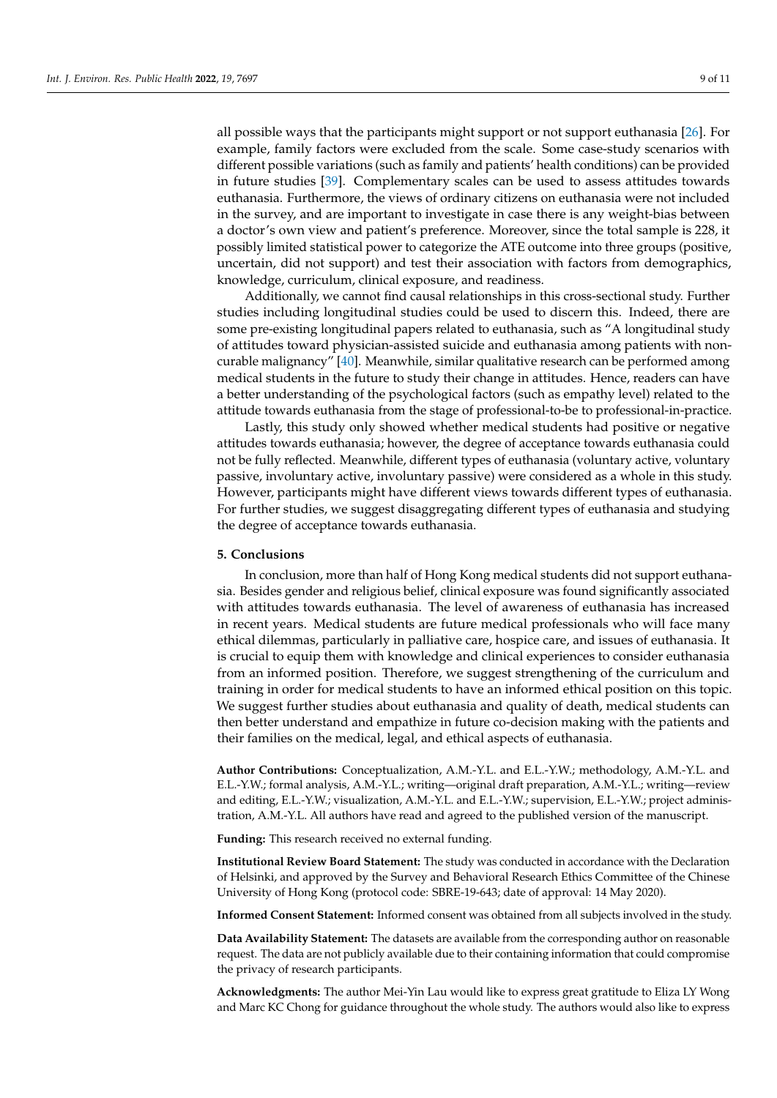all possible ways that the participants might support or not support euthanasia [\[26\]](#page-9-25). For example, family factors were excluded from the scale. Some case-study scenarios with different possible variations (such as family and patients' health conditions) can be provided in future studies [\[39\]](#page-10-10). Complementary scales can be used to assess attitudes towards euthanasia. Furthermore, the views of ordinary citizens on euthanasia were not included in the survey, and are important to investigate in case there is any weight-bias between a doctor's own view and patient's preference. Moreover, since the total sample is 228, it possibly limited statistical power to categorize the ATE outcome into three groups (positive, uncertain, did not support) and test their association with factors from demographics, knowledge, curriculum, clinical exposure, and readiness.

Additionally, we cannot find causal relationships in this cross-sectional study. Further studies including longitudinal studies could be used to discern this. Indeed, there are some pre-existing longitudinal papers related to euthanasia, such as "A longitudinal study of attitudes toward physician-assisted suicide and euthanasia among patients with noncurable malignancy" [\[40\]](#page-10-11). Meanwhile, similar qualitative research can be performed among medical students in the future to study their change in attitudes. Hence, readers can have a better understanding of the psychological factors (such as empathy level) related to the attitude towards euthanasia from the stage of professional-to-be to professional-in-practice.

Lastly, this study only showed whether medical students had positive or negative attitudes towards euthanasia; however, the degree of acceptance towards euthanasia could not be fully reflected. Meanwhile, different types of euthanasia (voluntary active, voluntary passive, involuntary active, involuntary passive) were considered as a whole in this study. However, participants might have different views towards different types of euthanasia. For further studies, we suggest disaggregating different types of euthanasia and studying the degree of acceptance towards euthanasia.

#### **5. Conclusions**

In conclusion, more than half of Hong Kong medical students did not support euthanasia. Besides gender and religious belief, clinical exposure was found significantly associated with attitudes towards euthanasia. The level of awareness of euthanasia has increased in recent years. Medical students are future medical professionals who will face many ethical dilemmas, particularly in palliative care, hospice care, and issues of euthanasia. It is crucial to equip them with knowledge and clinical experiences to consider euthanasia from an informed position. Therefore, we suggest strengthening of the curriculum and training in order for medical students to have an informed ethical position on this topic. We suggest further studies about euthanasia and quality of death, medical students can then better understand and empathize in future co-decision making with the patients and their families on the medical, legal, and ethical aspects of euthanasia.

**Author Contributions:** Conceptualization, A.M.-Y.L. and E.L.-Y.W.; methodology, A.M.-Y.L. and E.L.-Y.W.; formal analysis, A.M.-Y.L.; writing—original draft preparation, A.M.-Y.L.; writing—review and editing, E.L.-Y.W.; visualization, A.M.-Y.L. and E.L.-Y.W.; supervision, E.L.-Y.W.; project administration, A.M.-Y.L. All authors have read and agreed to the published version of the manuscript.

**Funding:** This research received no external funding.

**Institutional Review Board Statement:** The study was conducted in accordance with the Declaration of Helsinki, and approved by the Survey and Behavioral Research Ethics Committee of the Chinese University of Hong Kong (protocol code: SBRE-19-643; date of approval: 14 May 2020).

**Informed Consent Statement:** Informed consent was obtained from all subjects involved in the study.

**Data Availability Statement:** The datasets are available from the corresponding author on reasonable request. The data are not publicly available due to their containing information that could compromise the privacy of research participants.

**Acknowledgments:** The author Mei-Yin Lau would like to express great gratitude to Eliza LY Wong and Marc KC Chong for guidance throughout the whole study. The authors would also like to express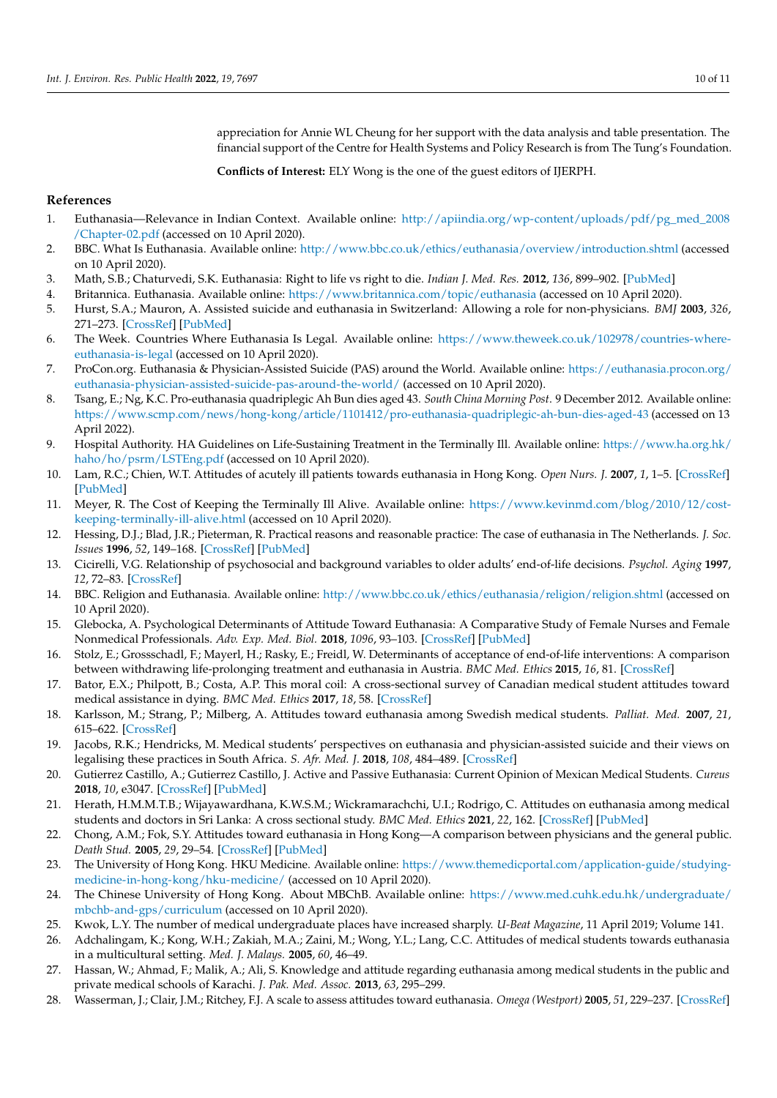appreciation for Annie WL Cheung for her support with the data analysis and table presentation. The financial support of the Centre for Health Systems and Policy Research is from The Tung's Foundation.

**Conflicts of Interest:** ELY Wong is the one of the guest editors of IJERPH.

## **References**

- <span id="page-9-0"></span>1. Euthanasia—Relevance in Indian Context. Available online: [http://apiindia.org/wp-content/uploads/pdf/pg\\_med\\_2008](http://apiindia.org/wp-content/uploads/pdf/pg_med_2008/Chapter-02.pdf) [/Chapter-02.pdf](http://apiindia.org/wp-content/uploads/pdf/pg_med_2008/Chapter-02.pdf) (accessed on 10 April 2020).
- <span id="page-9-1"></span>2. BBC. What Is Euthanasia. Available online: <http://www.bbc.co.uk/ethics/euthanasia/overview/introduction.shtml> (accessed on 10 April 2020).
- <span id="page-9-2"></span>3. Math, S.B.; Chaturvedi, S.K. Euthanasia: Right to life vs right to die. *Indian J. Med. Res.* **2012**, *136*, 899–902. [\[PubMed\]](http://www.ncbi.nlm.nih.gov/pubmed/23391785)
- <span id="page-9-3"></span>4. Britannica. Euthanasia. Available online: <https://www.britannica.com/topic/euthanasia> (accessed on 10 April 2020).
- <span id="page-9-4"></span>5. Hurst, S.A.; Mauron, A. Assisted suicide and euthanasia in Switzerland: Allowing a role for non-physicians. *BMJ* **2003**, *326*, 271–273. [\[CrossRef\]](http://doi.org/10.1136/bmj.326.7383.271) [\[PubMed\]](http://www.ncbi.nlm.nih.gov/pubmed/12560284)
- <span id="page-9-5"></span>6. The Week. Countries Where Euthanasia Is Legal. Available online: [https://www.theweek.co.uk/102978/countries-where](https://www.theweek.co.uk/102978/countries-where-euthanasia-is-legal)[euthanasia-is-legal](https://www.theweek.co.uk/102978/countries-where-euthanasia-is-legal) (accessed on 10 April 2020).
- <span id="page-9-6"></span>7. ProCon.org. Euthanasia & Physician-Assisted Suicide (PAS) around the World. Available online: [https://euthanasia.procon.org/](https://euthanasia.procon.org/euthanasia-physician-assisted-suicide-pas-around-the-world/) [euthanasia-physician-assisted-suicide-pas-around-the-world/](https://euthanasia.procon.org/euthanasia-physician-assisted-suicide-pas-around-the-world/) (accessed on 10 April 2020).
- <span id="page-9-7"></span>8. Tsang, E.; Ng, K.C. Pro-euthanasia quadriplegic Ah Bun dies aged 43. *South China Morning Post*. 9 December 2012. Available online: <https://www.scmp.com/news/hong-kong/article/1101412/pro-euthanasia-quadriplegic-ah-bun-dies-aged-43> (accessed on 13 April 2022).
- <span id="page-9-8"></span>9. Hospital Authority. HA Guidelines on Life-Sustaining Treatment in the Terminally Ill. Available online: [https://www.ha.org.hk/](https://www.ha.org.hk/haho/ho/psrm/LSTEng.pdf) [haho/ho/psrm/LSTEng.pdf](https://www.ha.org.hk/haho/ho/psrm/LSTEng.pdf) (accessed on 10 April 2020).
- <span id="page-9-9"></span>10. Lam, R.C.; Chien, W.T. Attitudes of acutely ill patients towards euthanasia in Hong Kong. *Open Nurs. J.* **2007**, *1*, 1–5. [\[CrossRef\]](http://doi.org/10.2174/1874434600701010001) [\[PubMed\]](http://www.ncbi.nlm.nih.gov/pubmed/19319212)
- <span id="page-9-10"></span>11. Meyer, R. The Cost of Keeping the Terminally Ill Alive. Available online: [https://www.kevinmd.com/blog/2010/12/cost](https://www.kevinmd.com/blog/2010/12/cost-keeping-terminally-ill-alive.html)[keeping-terminally-ill-alive.html](https://www.kevinmd.com/blog/2010/12/cost-keeping-terminally-ill-alive.html) (accessed on 10 April 2020).
- <span id="page-9-11"></span>12. Hessing, D.J.; Blad, J.R.; Pieterman, R. Practical reasons and reasonable practice: The case of euthanasia in The Netherlands. *J. Soc. Issues* **1996**, *52*, 149–168. [\[CrossRef\]](http://doi.org/10.1111/j.1540-4560.1996.tb01573.x) [\[PubMed\]](http://www.ncbi.nlm.nih.gov/pubmed/15156868)
- <span id="page-9-12"></span>13. Cicirelli, V.G. Relationship of psychosocial and background variables to older adults' end-of-life decisions. *Psychol. Aging* **1997**, *12*, 72–83. [\[CrossRef\]](http://doi.org/10.1037/0882-7974.12.1.72)
- <span id="page-9-13"></span>14. BBC. Religion and Euthanasia. Available online: <http://www.bbc.co.uk/ethics/euthanasia/religion/religion.shtml> (accessed on 10 April 2020).
- <span id="page-9-14"></span>15. Glebocka, A. Psychological Determinants of Attitude Toward Euthanasia: A Comparative Study of Female Nurses and Female Nonmedical Professionals. *Adv. Exp. Med. Biol.* **2018**, *1096*, 93–103. [\[CrossRef\]](http://doi.org/10.1007/5584_2018_191) [\[PubMed\]](http://www.ncbi.nlm.nih.gov/pubmed/29594741)
- <span id="page-9-15"></span>16. Stolz, E.; Grossschadl, F.; Mayerl, H.; Rasky, E.; Freidl, W. Determinants of acceptance of end-of-life interventions: A comparison between withdrawing life-prolonging treatment and euthanasia in Austria. *BMC Med. Ethics* **2015**, *16*, 81. [\[CrossRef\]](http://doi.org/10.1186/s12910-015-0076-y)
- <span id="page-9-16"></span>17. Bator, E.X.; Philpott, B.; Costa, A.P. This moral coil: A cross-sectional survey of Canadian medical student attitudes toward medical assistance in dying. *BMC Med. Ethics* **2017**, *18*, 58. [\[CrossRef\]](http://doi.org/10.1186/s12910-017-0218-5)
- <span id="page-9-17"></span>18. Karlsson, M.; Strang, P.; Milberg, A. Attitudes toward euthanasia among Swedish medical students. *Palliat. Med.* **2007**, *21*, 615–622. [\[CrossRef\]](http://doi.org/10.1177/0269216307081940)
- <span id="page-9-18"></span>19. Jacobs, R.K.; Hendricks, M. Medical students' perspectives on euthanasia and physician-assisted suicide and their views on legalising these practices in South Africa. *S. Afr. Med. J.* **2018**, *108*, 484–489. [\[CrossRef\]](http://doi.org/10.7196/SAMJ.2018.v108i6.13089)
- <span id="page-9-19"></span>20. Gutierrez Castillo, A.; Gutierrez Castillo, J. Active and Passive Euthanasia: Current Opinion of Mexican Medical Students. *Cureus* **2018**, *10*, e3047. [\[CrossRef\]](http://doi.org/10.7759/cureus.3047) [\[PubMed\]](http://www.ncbi.nlm.nih.gov/pubmed/30263878)
- <span id="page-9-20"></span>21. Herath, H.M.M.T.B.; Wijayawardhana, K.W.S.M.; Wickramarachchi, U.I.; Rodrigo, C. Attitudes on euthanasia among medical students and doctors in Sri Lanka: A cross sectional study. *BMC Med. Ethics* **2021**, *22*, 162. [\[CrossRef\]](http://doi.org/10.1186/s12910-021-00731-2) [\[PubMed\]](http://www.ncbi.nlm.nih.gov/pubmed/34876119)
- <span id="page-9-21"></span>22. Chong, A.M.; Fok, S.Y. Attitudes toward euthanasia in Hong Kong—A comparison between physicians and the general public. *Death Stud.* **2005**, *29*, 29–54. [\[CrossRef\]](http://doi.org/10.1080/07481180590519769) [\[PubMed\]](http://www.ncbi.nlm.nih.gov/pubmed/15726742)
- <span id="page-9-22"></span>23. The University of Hong Kong. HKU Medicine. Available online: [https://www.themedicportal.com/application-guide/studying](https://www.themedicportal.com/application-guide/studying-medicine-in-hong-kong/hku-medicine/)[medicine-in-hong-kong/hku-medicine/](https://www.themedicportal.com/application-guide/studying-medicine-in-hong-kong/hku-medicine/) (accessed on 10 April 2020).
- <span id="page-9-23"></span>24. The Chinese University of Hong Kong. About MBChB. Available online: [https://www.med.cuhk.edu.hk/undergraduate/](https://www.med.cuhk.edu.hk/undergraduate/mbchb-and-gps/curriculum) [mbchb-and-gps/curriculum](https://www.med.cuhk.edu.hk/undergraduate/mbchb-and-gps/curriculum) (accessed on 10 April 2020).
- <span id="page-9-24"></span>25. Kwok, L.Y. The number of medical undergraduate places have increased sharply. *U-Beat Magazine*, 11 April 2019; Volume 141.
- <span id="page-9-25"></span>26. Adchalingam, K.; Kong, W.H.; Zakiah, M.A.; Zaini, M.; Wong, Y.L.; Lang, C.C. Attitudes of medical students towards euthanasia in a multicultural setting. *Med. J. Malays.* **2005**, *60*, 46–49.
- <span id="page-9-26"></span>27. Hassan, W.; Ahmad, F.; Malik, A.; Ali, S. Knowledge and attitude regarding euthanasia among medical students in the public and private medical schools of Karachi. *J. Pak. Med. Assoc.* **2013**, *63*, 295–299.
- <span id="page-9-27"></span>28. Wasserman, J.; Clair, J.M.; Ritchey, F.J. A scale to assess attitudes toward euthanasia. *Omega (Westport)* **2005**, *51*, 229–237. [\[CrossRef\]](http://doi.org/10.2190/FGHE-YXHX-QJEA-MTM0)